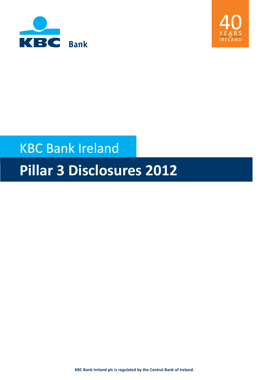



# KBC Bank Ireland

# **Pillar 3 Disclosures 2012**

**KBC Bank Ireland plc is regulated by the Central Bank of Ireland.**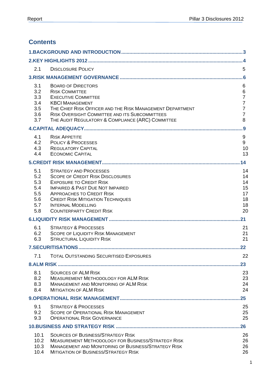## **Contents**

| 2.1                                                  | <b>DISCLOSURE POLICY</b>                                                                                                                                                                                                                                                                                  | 5                                                                                         |
|------------------------------------------------------|-----------------------------------------------------------------------------------------------------------------------------------------------------------------------------------------------------------------------------------------------------------------------------------------------------------|-------------------------------------------------------------------------------------------|
|                                                      |                                                                                                                                                                                                                                                                                                           | .6                                                                                        |
| 3.1<br>3.2<br>3.3<br>3.4<br>3.5<br>3.6<br>3.7        | <b>BOARD OF DIRECTORS</b><br><b>RISK COMMITTEE</b><br><b>EXECUTIVE COMMITTEE</b><br><b>KBCI MANAGEMENT</b><br>THE CHIEF RISK OFFICER AND THE RISK MANAGEMENT DEPARTMENT<br><b>RISK OVERSIGHT COMMITTEE AND ITS SUBCOMMITTEES</b><br>THE AUDIT REGULATORY & COMPLIANCE (ARC) COMMITTEE                     | 6<br>$\,6\,$<br>$\overline{7}$<br>$\overline{7}$<br>$\overline{7}$<br>$\overline{7}$<br>8 |
|                                                      |                                                                                                                                                                                                                                                                                                           | .9                                                                                        |
| 4.1<br>4.2<br>4.3<br>4.4                             | <b>RISK APPETITE</b><br><b>POLICY &amp; PROCESSES</b><br><b>REGULATORY CAPITAL</b><br><b>ECONOMIC CAPITAL</b>                                                                                                                                                                                             | 9<br>9<br>10<br>13                                                                        |
|                                                      |                                                                                                                                                                                                                                                                                                           | 14                                                                                        |
| 5.1<br>5.2<br>5.3<br>5.4<br>5.5<br>5.6<br>5.7<br>5.8 | <b>STRATEGY AND PROCESSES</b><br><b>SCOPE OF CREDIT RISK DISCLOSURES</b><br><b>EXPOSURE TO CREDIT RISK</b><br><b>IMPAIRED &amp; PAST DUE NOT IMPAIRED</b><br><b>APPROACHES TO CREDIT RISK</b><br><b>CREDIT RISK MITIGATION TECHNIQUES</b><br><b>INTERNAL MODELLING</b><br><b>COUNTERPARTY CREDIT RISK</b> | 14<br>14<br>14<br>15<br>17<br>18<br>18<br>20                                              |
|                                                      |                                                                                                                                                                                                                                                                                                           | .21                                                                                       |
| 6.1<br>6.2<br>6.3                                    | <b>STRATEGY &amp; PROCESSES</b><br><b>SCOPE OF LIQUIDITY RISK MANAGEMENT</b><br><b>STRUCTURAL LIQUIDITY RISK</b>                                                                                                                                                                                          | 21<br>21<br>21                                                                            |
|                                                      |                                                                                                                                                                                                                                                                                                           | .22                                                                                       |
| 7.1                                                  | <b>TOTAL OUTSTANDING SECURITISED EXPOSURES</b>                                                                                                                                                                                                                                                            | 22                                                                                        |
|                                                      |                                                                                                                                                                                                                                                                                                           | 23                                                                                        |
| 8.1<br>8.2<br>8.3<br>8.4                             | <b>SOURCES OF ALM RISK</b><br><b>MEASUREMENT METHODOLOGY FOR ALM RISK</b><br><b>MANAGEMENT AND MONITORING OF ALM RISK</b><br><b>MITIGATION OF ALM RISK</b>                                                                                                                                                | 23<br>23<br>24<br>24                                                                      |
|                                                      |                                                                                                                                                                                                                                                                                                           | 25                                                                                        |
| 9.1<br>9.2<br>9.3                                    | <b>STRATEGY &amp; PROCESSES</b><br><b>SCOPE OF OPERATIONAL RISK MANAGEMENT</b><br><b>OPERATIONAL RISK GOVERNANCE</b>                                                                                                                                                                                      | 25<br>25<br>25                                                                            |
|                                                      |                                                                                                                                                                                                                                                                                                           | .26                                                                                       |
| 10.1<br>10.2<br>10.3<br>10.4                         | <b>SOURCES OF BUSINESS/STRATEGY RISK</b><br><b>MEASUREMENT METHODOLOGY FOR BUSINESS/STRATEGY RISK</b><br><b>MANAGEMENT AND MONITORING OF BUSINESS/STRATEGY RISK</b><br><b>MITIGATION OF BUSINESS/STRATEGY RISK</b>                                                                                        | 26<br>26<br>26<br>26                                                                      |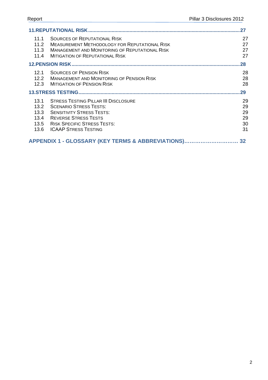|                                      |                                                                                                                                                                                                                    | 27                               |
|--------------------------------------|--------------------------------------------------------------------------------------------------------------------------------------------------------------------------------------------------------------------|----------------------------------|
| 11.1<br>11.2<br>11.3<br>11.4         | <b>SOURCES OF REPUTATIONAL RISK</b><br><b>MEASUREMENT METHODOLOGY FOR REPUTATIONAL RISK</b><br><b>MANAGEMENT AND MONITORING OF REPUTATIONAL RISK</b><br><b>MITIGATION OF REPUTATIONAL RISK</b>                     | 27<br>27<br>27<br>27             |
|                                      |                                                                                                                                                                                                                    | 28                               |
| 12.1<br>12.2<br>12.3                 | SOURCES OF PENSION RISK<br><b>MANAGEMENT AND MONITORING OF PENSION RISK</b><br><b>MITIGATION OF PENSION RISK</b>                                                                                                   | 28<br>28<br>28                   |
|                                      |                                                                                                                                                                                                                    | 29                               |
|                                      |                                                                                                                                                                                                                    |                                  |
| 13.1<br>13.2<br>13.3<br>13.4<br>13.6 | <b>STRESS TESTING PILLAR III DISCLOSURE</b><br><b>SCENARIO STRESS TESTS:</b><br><b>SENSITIVITY STRESS TESTS:</b><br><b>REVERSE STRESS TESTS</b><br>13.5 RISK SPECIFIC STRESS TESTS:<br><b>ICAAP STRESS TESTING</b> | 29<br>29<br>29<br>29<br>30<br>31 |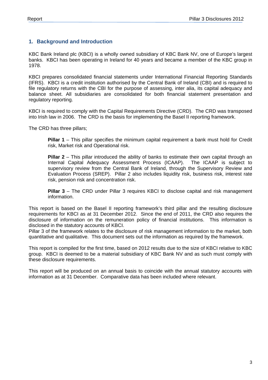## **1. Background and Introduction**

KBC Bank Ireland plc (KBCI) is a wholly owned subsidiary of KBC Bank NV, one of Europe's largest banks. KBCI has been operating in Ireland for 40 years and became a member of the KBC group in 1978.

KBCI prepares consolidated financial statements under International Financial Reporting Standards (IFRS). KBCI is a credit institution authorised by the Central Bank of Ireland (CBI) and is required to file regulatory returns with the CBI for the purpose of assessing, inter alia, its capital adequacy and balance sheet. All subsidiaries are consolidated for both financial statement presentation and regulatory reporting.

KBCI is required to comply with the Capital Requirements Directive (CRD). The CRD was transposed into Irish law in 2006. The CRD is the basis for implementing the Basel II reporting framework.

The CRD has three pillars;

**Pillar 1** – This pillar specifies the minimum capital requirement a bank must hold for Credit risk, Market risk and Operational risk.

**Pillar 2** – This pillar introduced the ability of banks to estimate their own capital through an Internal Capital Adequacy Assessment Process (ICAAP). The ICAAP is subject to supervisory review from the Central Bank of Ireland, through the Supervisory Review and Evaluation Process (SREP). Pillar 2 also includes liquidity risk, business risk, interest rate risk, pension risk and concentration risk.

**Pillar 3** – The CRD under Pillar 3 requires KBCI to disclose capital and risk management information.

This report is based on the Basel II reporting framework's third pillar and the resulting disclosure requirements for KBCI as at 31 December 2012. Since the end of 2011, the CRD also requires the disclosure of information on the remuneration policy of financial institutions. This information is disclosed in the statutory accounts of KBCI.

Pillar 3 of the framework relates to the disclosure of risk management information to the market, both quantitative and qualitative. This document sets out the information as required by the framework.

This report is compiled for the first time, based on 2012 results due to the size of KBCI relative to KBC group. KBCI is deemed to be a material subsidiary of KBC Bank NV and as such must comply with these disclosure requirements.

This report will be produced on an annual basis to coincide with the annual statutory accounts with information as at 31 December. Comparative data has been included where relevant.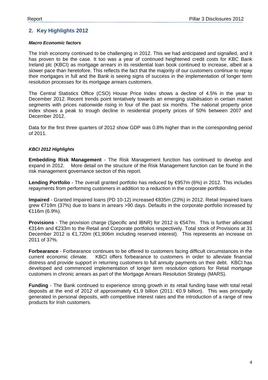## **2. Key Highlights 2012**

#### *Macro Economic factors*

The Irish economy continued to be challenging in 2012. This we had anticipated and signalled, and it has proven to be the case. It too was a year of continued heightened credit costs for KBC Bank Ireland plc (KBCI) as mortgage arrears in its residential loan book continued to increase, albeit at a slower pace than heretofore. This reflects the fact that the majority of our customers continue to repay their mortgages in full and the Bank is seeing signs of success in the implementation of longer term resolution processes for its mortgage arrears customers.

The Central Statistics Office (CSO) House Price Index shows a decline of 4.5% in the year to December 2012. Recent trends point tentatively towards an emerging stabilisation in certain market segments with prices nationwide rising in four of the past six months. The national property price index shows a peak to trough decline in residential property prices of 50% between 2007 and December 2012.

Data for the first three quarters of 2012 show GDP was 0.8% higher than in the corresponding period of 2011.

## *KBCI 2012 Highlights*

**Embedding Risk Management** - The Risk Management function has continued to develop and expand in 2012. More detail on the structure of the Risk Management function can be found in the risk management governance section of this report.

**Lending Portfolio** - The overall granted portfolio has reduced by €957m (6%) in 2012. This includes repayments from performing customers in addition to a reduction in the corporate portfolio.

**Impaired** - Granted Impaired loans (PD 10-12) increased €835m (23%) in 2012. Retail Impaired loans grew €719m (37%) due to loans in arrears >90 days. Defaults in the corporate portfolio increased by €116m (6.9%).

**Provisions** - The provision charge (Specific and IBNR) for 2012 is €547m. This is further allocated €314m and €233m to the Retail and Corporate portfolios respectively. Total stock of Provisions at 31 December 2012 is €1,720m (€1,906m including reserved interest). This represents an increase on 2011 of 37%.

**Forbearance** - Forbearance continues to be offered to customers facing difficult circumstances in the current economic climate. KBCI offers forbearance to customers in order to alleviate financial distress and provide support in returning customers to full annuity payments on their debt. KBCI has developed and commenced implementation of longer term resolution options for Retail mortgage customers in chronic arrears as part of the Mortgage Arrears Resolution Strategy (MARS).

**Funding** - The Bank continued to experience strong growth in its retail funding base with total retail deposits at the end of 2012 of approximately €1.9 billion (2011: €0.9 billion). This was principally generated in personal deposits, with competitive interest rates and the introduction of a range of new products for Irish customers.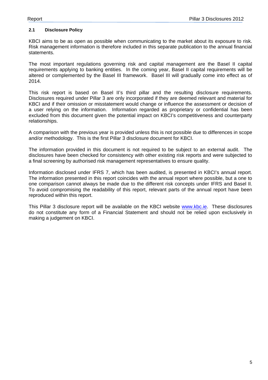## **2.1 Disclosure Policy**

KBCI aims to be as open as possible when communicating to the market about its exposure to risk. Risk management information is therefore included in this separate publication to the annual financial statements.

The most important regulations governing risk and capital management are the Basel II capital requirements applying to banking entities. In the coming year, Basel II capital requirements will be altered or complemented by the Basel III framework. Basel III will gradually come into effect as of 2014.

This risk report is based on Basel II's third pillar and the resulting disclosure requirements. Disclosures required under Pillar 3 are only incorporated if they are deemed relevant and material for KBCI and if their omission or misstatement would change or influence the assessment or decision of a user relying on the information. Information regarded as proprietary or confidential has been excluded from this document given the potential impact on KBCI's competitiveness and counterparty relationships.

A comparison with the previous year is provided unless this is not possible due to differences in scope and/or methodology. This is the first Pillar 3 disclosure document for KBCI.

The information provided in this document is not required to be subject to an external audit. The disclosures have been checked for consistency with other existing risk reports and were subjected to a final screening by authorised risk management representatives to ensure quality.

Information disclosed under IFRS 7, which has been audited, is presented in KBCI's annual report. The information presented in this report coincides with the annual report where possible, but a one to one comparison cannot always be made due to the different risk concepts under IFRS and Basel II. To avoid compromising the readability of this report, relevant parts of the annual report have been reproduced within this report.

This Pillar 3 disclosure report will be available on the KBCI website www.kbc.ie. These disclosures do not constitute any form of a Financial Statement and should not be relied upon exclusively in making a judgement on KBCI.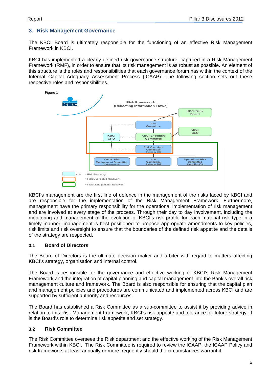## **3. Risk Management Governance**

The KBCI Board is ultimately responsible for the functioning of an effective Risk Management Framework in KBCI.

KBCI has implemented a clearly defined risk governance structure, captured in a Risk Management Framework (RMF), in order to ensure that its risk management is as robust as possible. An element of this structure is the roles and responsibilities that each governance forum has within the context of the Internal Capital Adequacy Assessment Process (ICAAP). The following section sets out these respective roles and responsibilities.



KBCI's management are the first line of defence in the management of the risks faced by KBCI and are responsible for the implementation of the Risk Management Framework. Furthermore, management have the primary responsibility for the operational implementation of risk management and are involved at every stage of the process. Through their day to day involvement, including the monitoring and management of the evolution of KBCI's risk profile for each material risk type in a timely manner, management is best positioned to propose appropriate amendments to key policies, risk limits and risk oversight to ensure that the boundaries of the defined risk appetite and the details of the strategy are respected.

## **3.1 Board of Directors**

The Board of Directors is the ultimate decision maker and arbiter with regard to matters affecting KBCI's strategy, organisation and internal control.

The Board is responsible for the governance and effective working of KBCI's Risk Management Framework and the integration of capital planning and capital management into the Bank's overall risk management culture and framework. The Board is also responsible for ensuring that the capital plan and management policies and procedures are communicated and implemented across KBCI and are supported by sufficient authority and resources.

The Board has established a Risk Committee as a sub-committee to assist it by providing advice in relation to this Risk Management Framework, KBCI's risk appetite and tolerance for future strategy. It is the Board's role to determine risk appetite and set strategy.

## **3.2 Risk Committee**

The Risk Committee oversees the Risk department and the effective working of the Risk Management Framework within KBCI. The Risk Committee is required to review the ICAAP, the ICAAP Policy and risk frameworks at least annually or more frequently should the circumstances warrant it.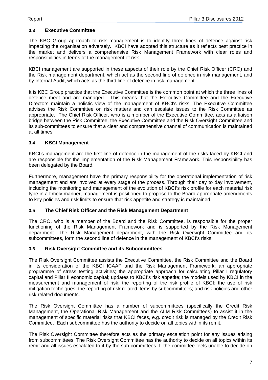## **3.3 Executive Committee**

The KBC Group approach to risk management is to identify three lines of defence against risk impacting the organisation adversely. KBCI have adopted this structure as it reflects best practice in the market and delivers a comprehensive Risk Management Framework with clear roles and responsibilities in terms of the management of risk.

KBCI management are supported in these aspects of their role by the Chief Risk Officer (CRO) and the Risk management department, which act as the second line of defence in risk management, and by Internal Audit, which acts as the third line of defence in risk management.

It is KBC Group practice that the Executive Committee is the common point at which the three lines of defence meet and are managed. This means that the Executive Committee and the Executive Directors maintain a holistic view of the management of KBCI's risks. The Executive Committee advises the Risk Committee on risk matters and can escalate issues to the Risk Committee as appropriate. The Chief Risk Officer, who is a member of the Executive Committee, acts as a liaison bridge between the Risk Committee, the Executive Committee and the Risk Oversight Committee and its sub-committees to ensure that a clear and comprehensive channel of communication is maintained at all times.

## **3.4 KBCI Management**

KBCI's management are the first line of defence in the management of the risks faced by KBCI and are responsible for the implementation of the Risk Management Framework. This responsibility has been delegated by the Board.

Furthermore, management have the primary responsibility for the operational implementation of risk management and are involved at every stage of the process. Through their day to day involvement, including the monitoring and management of the evolution of KBCI's risk profile for each material risk type in a timely manner, management is positioned to propose to the Board appropriate amendments to key policies and risk limits to ensure that risk appetite and strategy is maintained.

## **3.5 The Chief Risk Officer and the Risk Management Department**

The CRO, who is a member of the Board and the Risk Committee, is responsible for the proper functioning of the Risk Management Framework and is supported by the Risk Management department. The Risk Management department, with the Risk Oversight Committee and its subcommittees, form the second line of defence in the management of KBCI's risks.

## **3.6 Risk Oversight Committee and its Subcommittees**

The Risk Oversight Committee assists the Executive Committee, the Risk Committee and the Board in its consideration of the KBCI ICAAP and the Risk Management Framework; an appropriate programme of stress testing activities; the appropriate approach for calculating Pillar I regulatory capital and Pillar II economic capital; updates to KBCI's risk appetite; the models used by KBCI in the measurement and management of risk; the reporting of the risk profile of KBCI; the use of risk mitigation techniques; the reporting of risk related items by subcommittees; and risk policies and other risk related documents.

The Risk Oversight Committee has a number of subcommittees (specifically the Credit Risk Management, the Operational Risk Management and the ALM Risk Committees) to assist it in the management of specific material risks that KBCI faces, e.g. credit risk is managed by the Credit Risk Committee. Each subcommittee has the authority to decide on all topics within its remit.

The Risk Oversight Committee therefore acts as the primary escalation point for any issues arising from subcommittees. The Risk Oversight Committee has the authority to decide on all topics within its remit and all issues escalated to it by the sub-committees. If the committee feels unable to decide on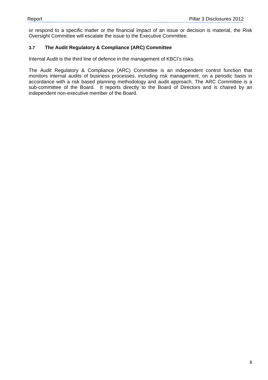or respond to a specific matter or the financial impact of an issue or decision is material, the Risk Oversight Committee will escalate the issue to the Executive Committee.

## **3.7 The Audit Regulatory & Compliance (ARC) Committee**

Internal Audit is the third line of defence in the management of KBCI's risks.

The Audit Regulatory & Compliance (ARC) Committee is an independent control function that monitors internal audits of business processes, including risk management, on a periodic basis in accordance with a risk based planning methodology and audit approach. The ARC Committee is a sub-committee of the Board. It reports directly to the Board of Directors and is chaired by an independent non-executive member of the Board.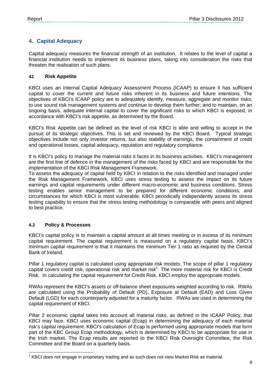## **4. Capital Adequacy**

Capital adequacy measures the financial strength of an institution. It relates to the level of capital a financial institution needs to implement its business plans, taking into consideration the risks that threaten the realisation of such plans.

## **4.1 Risk Appetite**

KBCI uses an Internal Capital Adequacy Assessment Process (ICAAP) to ensure it has sufficient capital to cover the current and future risks inherent in its business and future intentions. The objectives of KBCI's ICAAP policy are to adequately identify, measure, aggregate and monitor risks; to use sound risk management systems and continue to develop them further; and to maintain, on an ongoing basis, adequate internal capital to cover the significant risks to which KBCI is exposed, in accordance with KBCI's risk appetite, as determined by the Board.

KBCI's Risk Appetite can be defined as the level of risk KBCI is able and willing to accept in the pursuit of its strategic objectives. This is set and reviewed by the KBCI Board. Typical strategic objectives include not only investor returns, but also stability of earnings, the containment of credit and operational losses, capital adequacy, reputation and regulatory compliance.

It is KBCI's policy to manage the material risks it faces in its business activities. KBCI's management are the first line of defence in the management of the risks faced by KBCI and are responsible for the implementation of the KBCI Risk Management Framework.

To assess the adequacy of capital held by KBCI in relation to the risks identified and managed under the Risk Management Framework, KBCI uses stress testing to assess the impact on its future earnings and capital requirements under different macro-economic and business conditions. Stress testing enables senior management to be prepared for different economic conditions, and circumstances for which KBCI is most vulnerable. KBCI periodically independently assess its stress testing capability to ensure that the stress testing methodology is comparable with peers and aligned to best practice.

## **4.2 Policy & Processes**

KBCI's capital policy is to maintain a capital amount at all times meeting or in excess of its minimum capital requirement. The capital requirement is measured on a regulatory capital basis. KBCI's minimum capital requirement is that it maintains the minimum Tier 1 ratio as required by the Central Bank of Ireland.

Pillar 1 regulatory capital is calculated using appropriate risk models. The scope of pillar 1 regulatory capital covers credit risk, operational risk and market risk<sup>1</sup>. The more material risk for KBCI is Credit Risk. In calculating the capital requirement for Credit Risk, KBCI employ the appropriate models.

RWAs represent the KBCI's assets or off-balance sheet exposures weighted according to risk. RWAs are calculated using the Probability of Default (PD), Exposure at Default (EAD) and Loss Given Default (LGD) for each counterparty adjusted for a maturity factor. RWAs are used in determining the capital requirement of KBCI.

Pillar 2 economic capital takes into account all material risks, as defined in the ICAAP Policy, that KBCI may face. KBCI uses economic capital (Ecap) in determining the adequacy of each material risk's capital requirement. KBCI's calculation of Ecap is performed using appropriate models that form part of the KBC Group Ecap methodology, which is determined by KBCI to be appropriate for use in the Irish market. The Ecap results are reported to the KBCI Risk Oversight Committee, the Risk Committee and the Board on a quarterly basis.

 $1$  KBCI does not engage in proprietary trading and as such does not view Market Risk as material.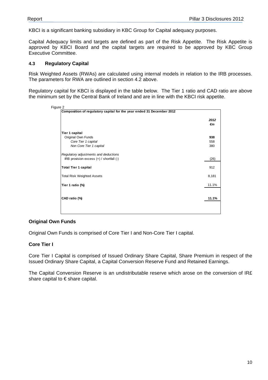KBCI is a significant banking subsidiary in KBC Group for Capital adequacy purposes.

Capital Adequacy limits and targets are defined as part of the Risk Appetite. The Risk Appetite is approved by KBCI Board and the capital targets are required to be approved by KBC Group Executive Committee.

#### **4.3 Regulatory Capital**

Risk Weighted Assets (RWAs) are calculated using internal models in relation to the IRB processes. The parameters for RWA are outlined in section 4.2 above.

Regulatory capital for KBCI is displayed in the table below. The Tier 1 ratio and CAD ratio are above the minimum set by the Central Bank of Ireland and are in line with the KBCI risk appetite.

|                                              | 2012<br>€m |
|----------------------------------------------|------------|
| <b>Tier 1 capital</b>                        |            |
| Original Own Funds                           | 938        |
| Core Tier 1 capital                          | 558        |
| Non Core Tier 1 capital                      | 380        |
| Regulatory adjustments and deductions        |            |
| IRB provision excess $(+)$ / shortfall $(-)$ | (26)       |
| <b>Total Tier 1 capital</b>                  | 912        |
| <b>Total Risk Weighted Assets</b>            | 8,181      |
| Tier 1 ratio (%)                             | 11.1%      |
| CAD ratio (%)                                | 11.1%      |

## **Original Own Funds**

Original Own Funds is comprised of Core Tier I and Non-Core Tier I capital.

## **Core Tier I**

Core Tier I Capital is comprised of Issued Ordinary Share Capital, Share Premium in respect of the Issued Ordinary Share Capital, a Capital Conversion Reserve Fund and Retained Earnings.

The Capital Conversion Reserve is an undistributable reserve which arose on the conversion of IR£ share capital to € share capital.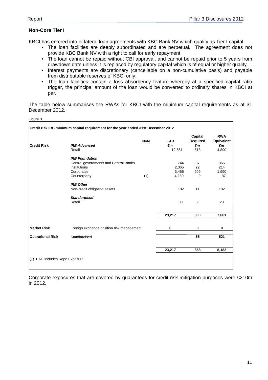## **Non-Core Tier I**

KBCI has entered into bi-lateral loan agreements with KBC Bank NV which qualify as Tier I capital.

- The loan facilities are deeply subordinated and are perpetual. The agreement does not provide KBC Bank NV with a right to call for early repayment;
- The loan cannot be repaid without CBI approval, and cannot be repaid prior to 5 years from drawdown date unless it is replaced by regulatory capital which is of equal or higher quality.
- Interest payments are discretionary (cancellable on a non-cumulative basis) and payable from distributable reserves of KBCI only;
- The loan facilities contain a loss absorbency feature whereby at a specified capital ratio trigger, the principal amount of the loan would be converted to ordinary shares in KBCI at par.

The table below summarises the RWAs for KBCI with the minimum capital requirements as at 31 December 2012.

|                         | Credit risk IRB minimum capital requirement for the year ended 31st December 2012 |             |            | Capital  | <b>RWA</b> |
|-------------------------|-----------------------------------------------------------------------------------|-------------|------------|----------|------------|
|                         |                                                                                   | <b>Note</b> | <b>EAD</b> | Required | Equivalent |
| <b>Credit Risk</b>      | <b>IRB Advanced</b>                                                               |             | €m         | €m       | €m         |
|                         | Retail                                                                            |             | 12,551     | 513      | 4,890      |
|                         | <b>IRB Foundation</b>                                                             |             |            |          |            |
|                         | Central governments and Central Banks                                             |             | 744        | 37       | 355        |
|                         | Institutions                                                                      |             | 2,065      | 22       | 214        |
|                         | Corporates                                                                        |             | 3,456      | 209      | 1,990      |
|                         | Counterparty                                                                      | (1)         | 4,269      | 9        | 87         |
|                         | <b>IRB Other</b>                                                                  |             |            |          |            |
|                         | Non-credit obligation assets                                                      |             | 102        | 11       | 102        |
|                         | <b>Standardised</b>                                                               |             |            |          |            |
|                         | Retail                                                                            |             | 30         | 2        | 23         |
|                         |                                                                                   |             | 23,217     | 803      | 7,661      |
|                         |                                                                                   |             |            |          |            |
| <b>Market Risk</b>      | Foreign exchange position risk management                                         |             | $\bf{0}$   | 0        | 0          |
| <b>Operational Risk</b> | Standardised                                                                      |             |            | 55       | 521        |
|                         |                                                                                   |             |            |          |            |
|                         |                                                                                   |             | 23,217     | 858      | 8,182      |

Corporate exposures that are covered by quarantees for credit risk mitigation purposes were  $\epsilon$ 210m in 2012.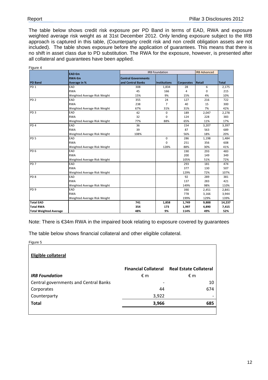The table below shows credit risk exposure per PD Band in terms of EAD, RWA and exposure weighted average risk weight as at 31st December 2012. Only lending exposure subject to the IRB approach is captured in this table, (Counterparty credit risk and non credit obligation assets are not included). The table shows exposure before the application of guarantees. This means that there is no shift in asset class due to PD substitution. The RWA for the exposure, however, is presented after all collateral and guarantees have been applied.

| Figure 4                      |                              |                            |                                              |                   |          |              |
|-------------------------------|------------------------------|----------------------------|----------------------------------------------|-------------------|----------|--------------|
|                               | EAD €m                       |                            | <b>IRB</b> Foundation<br><b>IRB Advanced</b> |                   |          |              |
|                               | <b>RWA €m</b>                | <b>Central Governments</b> |                                              |                   |          |              |
| <b>PD Band</b>                | Average in %                 | and Central Banks          | <b>Institutions</b>                          | <b>Corporates</b> | Retail   | <b>Total</b> |
| PD <sub>1</sub>               | EAD                          | 308                        | 1,834                                        | 28                | 6        | 2,175        |
|                               | <b>RWA</b>                   | 45                         | 166                                          | 4                 | $\Omega$ | 215          |
|                               | Weighted Average Risk Weight | 15%                        | 9%                                           | 15%               | 4%       | 10%          |
| PD <sub>2</sub>               | EAD                          | 355                        | 24                                           | 127               | 216      | 722          |
|                               | <b>RWA</b>                   | 238                        | $\overline{7}$                               | 40                | 15       | 300          |
|                               | Weighted Average Risk Weight | 67%                        | 31%                                          | 31%               | 7%       | 42%          |
| PD <sub>3</sub>               | EAD                          | 42                         | $\mathbf 0$                                  | 189               | 2,047    | 2,278        |
|                               | <b>RWA</b>                   | 32                         | 0                                            | 124               | 228      | 383          |
|                               | Weighted Average Risk Weight | 77%                        | 88%                                          | 65%               | 11%      | 17%          |
| PD <sub>4</sub>               | EAD                          | 36                         |                                              | 154               | 3,207    | 3,397        |
|                               | <b>RWA</b>                   | 39                         |                                              | 87                | 563      | 689          |
|                               | Weighted Average Risk Weight | 108%                       |                                              | 56%               | 18%      | 20%          |
| PD <sub>5</sub>               | EAD                          |                            | $\mathbf 0$                                  | 286               | 1,198    | 1,484        |
|                               | <b>RWA</b>                   |                            | $\mathbf 0$                                  | 251               | 356      | 608          |
|                               | Weighted Average Risk Weight |                            | 128%                                         | 88%               | 30%      | 41%          |
| PD <sub>6</sub>               | EAD                          |                            |                                              | 190               | 293      | 483          |
|                               | <b>RWA</b>                   |                            |                                              | 200               | 149      | 349          |
|                               | Weighted Average Risk Weight |                            |                                              | 105%              | 51%      | 72%          |
| PD <sub>7</sub>               | EAD                          |                            |                                              | 293               | 181      | 474          |
|                               | <b>RWA</b>                   |                            |                                              | 377               | 130      | 507          |
|                               | Weighted Average Risk Weight |                            |                                              | 129%              | 72%      | 107%         |
| PD <sub>8</sub>               | EAD                          |                            |                                              | 92                | 289      | 381          |
|                               | <b>RWA</b>                   |                            |                                              | 137               | 283      | 421          |
|                               | Weighted Average Risk Weight |                            |                                              | 149%              | 98%      | 110%         |
| PD <sub>9</sub>               | EAD                          |                            |                                              | 390               | 2,451    | 2,841        |
|                               | <b>RWA</b>                   |                            |                                              | 778               | 3,166    | 3,944        |
|                               | Weighted Average Risk Weight |                            |                                              | 199%              | 129%     | 139%         |
| <b>Total EAD</b>              |                              | 741                        | 1,858                                        | 1,749             | 9,888    | 14,237       |
| <b>Total RWA</b>              |                              | 354                        | 173                                          | 1,997             | 4,890    | 7,415        |
| <b>Total Weighted Average</b> |                              | 48%                        | 9%                                           | 114%              | 49%      | 52%          |

Note: There is €34m RWA in the impaired book relating to exposure covered by guarantees

The table below shows financial collateral and other eligible collateral.

| Figure 5                              |       |                                                    |
|---------------------------------------|-------|----------------------------------------------------|
| Eligible collateral                   |       |                                                    |
|                                       |       | <b>Financial Collateral Real Estate Collateral</b> |
| <b>IRB Foundation</b>                 | €m    | €m                                                 |
| Central governments and Central Banks |       | 10                                                 |
| Corporates                            | 44    | 674                                                |
| Counterparty                          | 3,922 |                                                    |
| <b>Total</b>                          | 3,966 | 685                                                |
|                                       |       |                                                    |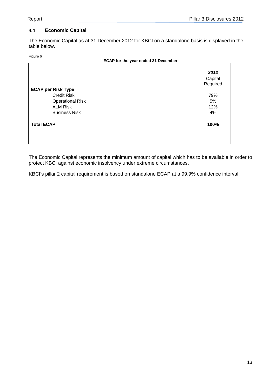## **4.4 Economic Capital**

The Economic Capital as at 31 December 2012 for KBCI on a standalone basis is displayed in the table below.

Figure 6

|                   | ECAP for the year ended 31 December |          |
|-------------------|-------------------------------------|----------|
|                   |                                     | 2012     |
|                   |                                     | Capital  |
|                   |                                     | Required |
|                   | <b>ECAP per Risk Type</b>           |          |
|                   | <b>Credit Risk</b>                  | 79%      |
|                   | <b>Operational Risk</b>             | 5%       |
|                   | <b>ALM Risk</b>                     | 12%      |
|                   | <b>Business Risk</b>                | 4%       |
| <b>Total ECAP</b> |                                     | 100%     |

The Economic Capital represents the minimum amount of capital which has to be available in order to protect KBCI against economic insolvency under extreme circumstances.

KBCI's pillar 2 capital requirement is based on standalone ECAP at a 99.9% confidence interval.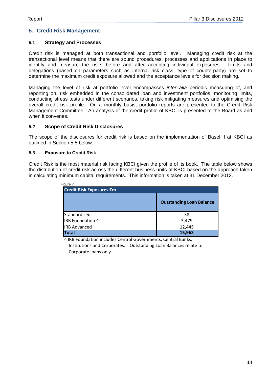## **5. Credit Risk Management**

## **5.1 Strategy and Processes**

Credit risk is managed at both transactional and portfolio level. Managing credit risk at the transactional level means that there are sound procedures, processes and applications in place to identify and measure the risks before and after accepting individual exposures. Limits and delegations (based on parameters such as internal risk class, type of counterparty) are set to determine the maximum credit exposure allowed and the acceptance levels for decision making.

Managing the level of risk at portfolio level encompasses *inter alia* periodic measuring of, and reporting on, risk embedded in the consolidated loan and investment portfolios, monitoring limits, conducting stress tests under different scenarios, taking risk mitigating measures and optimising the overall credit risk profile. On a monthly basis, portfolio reports are presented to the Credit Risk Management Committee. An analysis of the credit profile of KBCI is presented to the Board as and when it convenes.

#### **5.2 Scope of Credit Risk Disclosures**

The scope of the disclosures for credit risk is based on the implementation of Basel II at KBCI as outlined in Section 5.5 below.

#### **5.3 Exposure to Credit Risk**

Credit Risk is the most material risk facing KBCI given the profile of its book. The table below shows the distribution of credit risk across the different business units of KBCI based on the approach taken in calculating minimum capital requirements. This information is taken at 31 December 2012.

| Figure 7                 |                                 |
|--------------------------|---------------------------------|
| Credit Risk Exposures €m |                                 |
|                          | <b>Outstanding Loan Balance</b> |
| Standardised             | 38                              |
| IRB Foundation ^         | 3,479                           |
| <b>IRB Advanced</b>      | 12,445                          |
| 'otal                    | 15,963                          |

^ IRB Foundation includes Central Governments, Central Banks, Institutions and Corporates. Outstanding Loan Balances relate to Corporate loans only.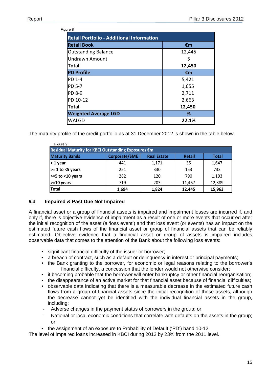| Figure 8                                         |        |  |  |  |  |
|--------------------------------------------------|--------|--|--|--|--|
| <b>Retail Portfolio - Additional Information</b> |        |  |  |  |  |
| <b>Retail Book</b>                               | €m     |  |  |  |  |
| <b>Outstanding Balance</b>                       | 12,445 |  |  |  |  |
| <b>Undrawn Amount</b>                            | 5      |  |  |  |  |
| Total                                            | 12,450 |  |  |  |  |
| <b>PD Profile</b>                                | €m     |  |  |  |  |
| <b>PD 1-4</b>                                    | 5,421  |  |  |  |  |
| PD 5-7                                           | 1,655  |  |  |  |  |
| PD 8-9                                           | 2,711  |  |  |  |  |
| PD 10-12                                         | 2,663  |  |  |  |  |
| Total                                            | 12,450 |  |  |  |  |
| <b>Weighted Average LGD</b>                      | ℅      |  |  |  |  |
| <b>WALGD</b>                                     | 22.1%  |  |  |  |  |

The maturity profile of the credit portfolio as at 31 December 2012 is shown in the table below.

| Figure 9                                            |               |                    |               |              |  |  |  |
|-----------------------------------------------------|---------------|--------------------|---------------|--------------|--|--|--|
| Residual Maturity for KBCI Outstanding Exposures €m |               |                    |               |              |  |  |  |
| <b>Maturity Bands</b>                               | Corporate/SME | <b>Real Estate</b> | <b>Retail</b> | <b>Total</b> |  |  |  |
| < 1 year                                            | 441           | 1,171              | 35            | 1,647        |  |  |  |
| $\geq$ 1 to <5 years                                | 251           | 330                | 153           | 733          |  |  |  |
| $\ge$ =5 to <10 years                               | 282           | 120                | 790           | 1,193        |  |  |  |
| $>=10$ years                                        | 719           | 203                | 11,467        | 12,389       |  |  |  |
| <b>Total</b>                                        | 1,694         | 1,824              | 12,445        | 15,963       |  |  |  |

## **5.4 Impaired & Past Due Not Impaired**

A financial asset or a group of financial assets is impaired and impairment losses are incurred if, and only if, there is objective evidence of impairment as a result of one or more events that occurred after the initial recognition of the asset (a 'loss event') and that loss event (or events) has an impact on the estimated future cash flows of the financial asset or group of financial assets that can be reliably estimated. Objective evidence that a financial asset or group of assets is impaired includes observable data that comes to the attention of the Bank about the following loss events:

- significant financial difficulty of the issuer or borrower:
- a breach of contract, such as a default or delinguency in interest or principal payments;
- the Bank granting to the borrower, for economic or legal reasons relating to the borrower's financial difficulty, a concession that the lender would not otherwise consider;
- it becoming probable that the borrower will enter bankruptcy or other financial reorganisation;
- the disappearance of an active market for that financial asset because of financial difficulties;
- observable data indicating that there is a measurable decrease in the estimated future cash flows from a group of financial assets since the initial recognition of those assets, although the decrease cannot yet be identified with the individual financial assets in the group, including:
- Adverse changes in the payment status of borrowers in the group; or
- National or local economic conditions that correlate with defaults on the assets in the group; or
- the assignment of an exposure to Probability of Default ('PD') band 10-12.

The level of impaired loans increased in KBCI during 2012 by 23% from the 2011 level.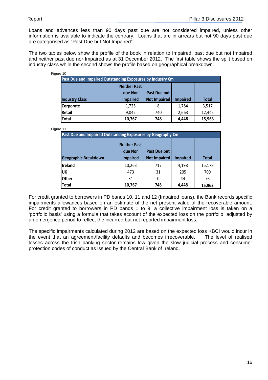Loans and advances less than 90 days past due are not considered impaired, unless other information is available to indicate the contrary. Loans that are in arrears but not 90 days past due are categorised as "Past Due but Not Impaired".

The two tables below show the profile of the book in relation to Impaired, past due but not Impaired and neither past due nor Impaired as at 31 December 2012. The first table shows the split based on industry class while the second shows the profile based on geographical breakdown.

| Past Due and Impaired Outstanding Exposures by Industry €m |                     |              |                 |              |  |  |  |
|------------------------------------------------------------|---------------------|--------------|-----------------|--------------|--|--|--|
|                                                            | <b>Neither Past</b> |              |                 |              |  |  |  |
|                                                            | due Nor             | Past Due but |                 |              |  |  |  |
| <b>Industry Class</b>                                      | <b>Impaired</b>     | Not Impaired | <b>Impaired</b> | <b>Total</b> |  |  |  |
| <b>Corporate</b>                                           | 1,725               | 8            | 1,784           | 3,517        |  |  |  |
| <b>Retail</b>                                              | 9,042               | 740          | 2,663           | 12,445       |  |  |  |
| <b>Total</b>                                               | 10,767              | 748          | 4,448           | 15,963       |  |  |  |

#### Figure 11

| Past Due and Impaired Outstanding Exposures by Geography €m |                                |              |                 |              |  |
|-------------------------------------------------------------|--------------------------------|--------------|-----------------|--------------|--|
|                                                             | <b>Neither Past</b><br>due Nor | Past Due but |                 |              |  |
| <b>Geographic Breakdown</b>                                 | <b>Impaired</b>                | Not Impaired | <b>Impaired</b> | <b>Total</b> |  |
| Ireland                                                     | 10,263                         | 717          | 4,198           | 15,178       |  |
| IUК                                                         | 473                            | 31           | 205             | 709          |  |
| <b>Other</b>                                                | 31                             | 0            | 44              | 76           |  |
| <b>Total</b>                                                | 10,767                         | 748          | 4,448           | 15,963       |  |

For credit granted to borrowers in PD bands 10, 11 and 12 (Impaired loans), the Bank records specific impairments allowances based on an estimate of the net present value of the recoverable amount. For credit granted to borrowers in PD bands 1 to 9, a collective impairment loss is taken on a 'portfolio basis' using a formula that takes account of the expected loss on the portfolio, adjusted by an emergence period to reflect the incurred but not reported impairment loss.

The specific impairments calculated during 2012 are based on the expected loss KBCI would incur in the event that an agreement/facility defaults and becomes irrecoverable. The level of realised losses across the Irish banking sector remains low given the slow judicial process and consumer protection codes of conduct as issued by the Central Bank of Ireland.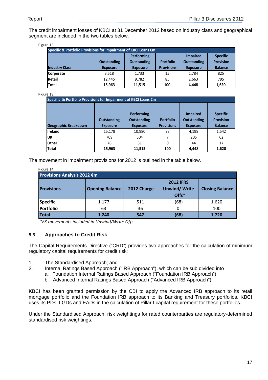The credit impairment losses of KBCI at 31 December 2012 based on industry class and geographical segment are included in the two tables below.

Figure 12

| Specific & Portfolio Provisions for Impairment of KBCI Loans €m |                    |                    |                   |                    |                  |
|-----------------------------------------------------------------|--------------------|--------------------|-------------------|--------------------|------------------|
|                                                                 |                    | <b>Performing</b>  |                   | <b>Impaired</b>    | <b>Specific</b>  |
|                                                                 | <b>Outstanding</b> | <b>Outstanding</b> | <b>Portfolio</b>  | <b>Outstanding</b> | <b>Provision</b> |
| <b>Industry Class</b>                                           | <b>Exposure</b>    | <b>Exposure</b>    | <b>Provisions</b> | <b>Exposure</b>    | <b>Balance</b>   |
| Corporate                                                       | 3.518              | 1,733              | 15                | 1.784              | 825              |
| Retail                                                          | 12.445             | 9.782              | 85                | 2,663              | 795              |
| <b>Total</b>                                                    | 15.963             | 11,515             | 100               | 4.448              | 1,620            |

Figure 13

| Specific & Portfolio Provisions for Impairment of KBCI Loans €m |                                       |                                                     |                                       |                                                          |                                                       |
|-----------------------------------------------------------------|---------------------------------------|-----------------------------------------------------|---------------------------------------|----------------------------------------------------------|-------------------------------------------------------|
| <b>Geographic Breakdown</b>                                     | <b>Outstanding</b><br><b>Exposure</b> | Performing<br><b>Outstanding</b><br><b>Exposure</b> | <b>Portfolio</b><br><b>Provisions</b> | <b>Impaired</b><br><b>Outstanding</b><br><b>Exposure</b> | <b>Specific</b><br><b>Provision</b><br><b>Balance</b> |
| <b>Ireland</b>                                                  | 15,178                                | 10,980                                              | 93                                    | 4.198                                                    | 1,542                                                 |
| <b>UK</b>                                                       | 709                                   | 504                                                 |                                       | 205                                                      | 62                                                    |
| <b>Other</b>                                                    | 76                                    | 31                                                  | 0                                     | 44                                                       | 17                                                    |
| Total                                                           | 15,963                                | 11,515                                              | 100                                   | 4.448                                                    | 1,620                                                 |

The movement in impairment provisions for 2012 is outlined in the table below.

| Figure 14                   |                        |             |                                                  |                        |
|-----------------------------|------------------------|-------------|--------------------------------------------------|------------------------|
| Provisions Analysis 2012 €m |                        |             |                                                  |                        |
| <b>Provisions</b>           | <b>Opening Balance</b> | 2012 Charge | <b>2012 IFRS</b><br><b>Unwind/Write</b><br>Offs* | <b>Closing Balance</b> |
| Specific                    | 1,177                  | 511         | (68)                                             | 1,620                  |
| Portfolio                   | 63                     | 36          |                                                  | 100                    |
| <b>Total</b>                | 1,240                  | 547         | (68)                                             | 1,720                  |

*\*FX movements included in Unwind/Write Offs*

## **5.5 Approaches to Credit Risk**

The Capital Requirements Directive ("CRD") provides two approaches for the calculation of minimum regulatory capital requirements for credit risk:

- 1. The Standardised Approach; and
- 2. Internal Ratings Based Approach ("IRB Approach"), which can be sub divided into
	- a. Foundation Internal Ratings Based Approach ("Foundation IRB Approach");
		- b. Advanced Internal Ratings Based Approach ("Advanced IRB Approach");

KBCI has been granted permission by the CBI to apply the Advanced IRB approach to its retail mortgage portfolio and the Foundation IRB approach to its Banking and Treasury portfolios. KBCI uses its PDs, LGDs and EADs in the calculation of Pillar I capital requirement for these portfolios.

Under the Standardised Approach, risk weightings for rated counterparties are regulatory-determined standardised risk weightings.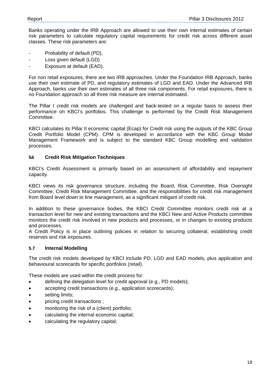Banks operating under the IRB Approach are allowed to use their own internal estimates of certain risk parameters to calculate regulatory capital requirements for credit risk across different asset classes. These risk parameters are:

- Probability of default (PD),
- Loss given default (LGD)
- Exposure at default (EAD).

For non retail exposures, there are two IRB approaches. Under the Foundation IRB Approach, banks use their own estimate of PD, and regulatory estimates of LGD and EAD. Under the Advanced IRB Approach, banks use their own estimates of all three risk components. For retail exposures, there is no Foundation approach so all three risk measure are internal estimated.

The Pillar I credit risk models are challenged and back-tested on a regular basis to assess their performance on KBCI's portfolios. This challenge is performed by the Credit Risk Management Committee.

KBCI calculates its Pillar II economic capital (Ecap) for Credit risk using the outputs of the KBC Group Credit Portfolio Model (CPM). CPM is developed in accordance with the KBC Group Model Management Framework and is subject to the standard KBC Group modelling and validation processes.

## **5.6 Credit Risk Mitigation Techniques**

KBCI's Credit Assessment is primarily based on an assessment of affordability and repayment capacity.

KBCI views its risk governance structure, including the Board, Risk Committee, Risk Oversight Committee, Credit Risk Management Committee, and the responsibilities for credit risk management from Board level down to line management, as a significant mitigant of credit risk.

In addition to these governance bodies, the KBCI Credit Committee monitors credit risk at a transaction level for new and existing transactions and the KBCI New and Active Products committee monitors the credit risk involved in new products and processes, or in changes to existing products and processes.

A Credit Policy is in place outlining policies in relation to securing collateral, establishing credit reserves and risk exposures.

## **5.7 Internal Modelling**

The credit risk models developed by KBCI include PD, LGD and EAD models, plus application and behavioural scorecards for specific portfolios (retail).

These models are used within the credit process for:

- defining the delegation level for credit approval (e.g., PD models);
- accepting credit transactions (e.g., application scorecards);
- setting limits:
- pricing credit transactions ;
- monitoring the risk of a (client) portfolio;
- calculating the internal economic capital;
- calculating the regulatory capital;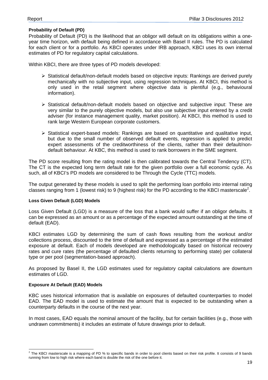## **Probability of Default (PD)**

Probability of Default (PD) is the likelihood that an obligor will default on its obligations within a oneyear time horizon, with default being defined in accordance with Basel II rules. The PD is calculated for each client or for a portfolio. As KBCI operates under IRB approach, KBCI uses its own internal estimates of PD for regulatory capital calculations.

Within KBCI, there are three types of PD models developed:

- $\triangleright$  Statistical default/non-default models based on objective inputs: Rankings are derived purely mechanically with no subjective input, using regression techniques. At KBCI, this method is only used in the retail segment where objective data is plentiful (e.g., behavioural information).
- $\triangleright$  Statistical default/non-default models based on objective and subjective input: These are very similar to the purely objective models, but also use subjective input entered by a credit adviser (for instance management quality, market position). At KBCI, this method is used to rank large Western European corporate customers.
- $\triangleright$  Statistical expert-based models: Rankings are based on quantitative and qualitative input, but due to the small number of observed default events, regression is applied to predict expert assessments of the creditworthiness of the clients, rather than their default/nondefault behaviour. At KBC, this method is used to rank borrowers in the SME segment.

The PD score resulting from the rating model is then calibrated towards the Central Tendency (CT). The CT is the expected long term default rate for the given portfolio over a full economic cycle. As such, all of KBCI's PD models are considered to be Through the Cycle (TTC) models.

The output generated by these models is used to split the performing loan portfolio into internal rating classes ranging from 1 (lowest risk) to 9 (highest risk) for the PD according to the KBCI masterscale<sup>2</sup>.

## **Loss Given Default (LGD) Models**

Loss Given Default (LGD) is a measure of the loss that a bank would suffer if an obligor defaults. It can be expressed as an amount or as a percentage of the expected amount outstanding at the time of default (EAD).

KBCI estimates LGD by determining the sum of cash flows resulting from the workout and/or collections process, discounted to the time of default and expressed as a percentage of the estimated exposure at default. Each of models developed are methodologically based on historical recovery rates and cure rates (the percentage of defaulted clients returning to performing state) per collateral type or per pool (segmentation-based approach).

As proposed by Basel II, the LGD estimates used for regulatory capital calculations are downturn estimates of LGD.

## **Exposure At Default (EAD) Models**

KBC uses historical information that is available on exposures of defaulted counterparties to model EAD. The EAD model is used to estimate the amount that is expected to be outstanding when a counterparty defaults in the course of the next year.

In most cases, EAD equals the nominal amount of the facility, but for certain facilities (e.g., those with undrawn commitments) it includes an estimate of future drawings prior to default.

 2 The KBCI masterscale is a mapping of PD % to specific bands in order to pool clients based on their risk profile. It consists of 9 bands running from low to high risk where each band is double the risk of the one before it.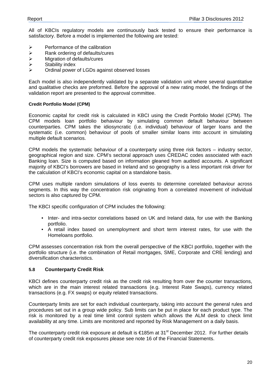All of KBCIs regulatory models are continuously back tested to ensure their performance is satisfactory. Before a model is implemented the following are tested:

- $\triangleright$  Performance of the calibration
- $\triangleright$  Rank ordering of defaults/cures
- Migration of defaults/cures
- $\triangleright$  Stability index
- Ordinal power of LGDs against observed losses

Each model is also independently validated by a separate validation unit where several quantitative and qualitative checks are preformed. Before the approval of a new rating model, the findings of the validation report are presented to the approval committee.

#### **Credit Portfolio Model (CPM)**

Economic capital for credit risk is calculated in KBCI using the Credit Portfolio Model (CPM). The CPM models loan portfolio behaviour by simulating common default behaviour between counterparties. CPM takes the idiosyncratic (i.e. individual) behaviour of larger loans and the systematic (i.e. common) behaviour of pools of smaller similar loans into account in simulating multiple default scenarios.

CPM models the systematic behaviour of a counterparty using three risk factors – industry sector, geographical region and size. CPM's sectoral approach uses CREDAC codes associated with each Banking loan. Size is computed based on information gleaned from audited accounts. A significant majority of KBCI's borrowers are based in Ireland and so geography is a less important risk driver for the calculation of KBCI's economic capital on a standalone basis.

CPM uses multiple random simulations of loss events to determine correlated behaviour across segments. In this way the concentration risk originating from a correlated movement of individual sectors is also captured by CPM.

The KBCI specific configuration of CPM includes the following:

- Inter- and intra-sector correlations based on UK and Ireland data, for use with the Banking portfolio.
- A retail index based on unemployment and short term interest rates, for use with the Homeloans portfolio.

CPM assesses concentration risk from the overall perspective of the KBCI portfolio, together with the portfolio structure (i.e. the combination of Retail mortgages, SME, Corporate and CRE lending) and diversification characteristics.

## **5.8 Counterparty Credit Risk**

KBCI defines counterparty credit risk as the credit risk resulting from over the counter transactions, which are in the main interest related transactions (e.g. Interest Rate Swaps), currency related transactions (e.g. FX swaps) or equity related transactions.

Counterparty limits are set for each individual counterparty, taking into account the general rules and procedures set out in a group wide policy. Sub limits can be put in place for each product type. The risk is monitored by a real time limit control system which allows the ALM desk to check limit availability at any time. Limits are monitored and reported by Risk Management on a daily basis.

The counterparty credit risk exposure at default is  $\epsilon$ 185m at 31<sup>st</sup> December 2012. For further details of counterparty credit risk exposures please see note 16 of the Financial Statements.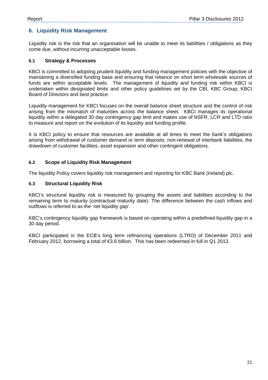## **6. Liquidity Risk Management**

Liquidity risk is the risk that an organisation will be unable to meet its liabilities / obligations as they come due, without incurring unacceptable losses.

## **6.1 Strategy & Processes**

KBCI is committed to adopting prudent liquidity and funding management policies with the objective of maintaining a diversified funding base and ensuring that reliance on short term wholesale sources of funds are within acceptable levels. The management of liquidity and funding risk within KBCI is undertaken within designated limits and other policy guidelines set by the CBI, KBC Group, KBCI Board of Directors and best practice.

Liquidity management for KBCI focuses on the overall balance sheet structure and the control of risk arising from the mismatch of maturities across the balance sheet. KBCI manages its operational liquidity within a delegated 30 day contingency gap limit and makes use of NSFR, LCR and LTD ratio to measure and report on the evolution of its liquidity and funding profile.

It is KBCI policy to ensure that resources are available at all times to meet the bank's obligations arising from withdrawal of customer demand or term deposits, non-renewal of interbank liabilities, the drawdown of customer facilities, asset expansion and other contingent obligations.

## **6.2 Scope of Liquidity Risk Management**

The liquidity Policy covers liquidity risk management and reporting for KBC Bank (Ireland) plc.

## **6.3 Structural Liquidity Risk**

KBCI's structural liquidity risk is measured by grouping the assets and liabilities according to the remaining term to maturity (contractual maturity date). The difference between the cash inflows and outflows is referred to as the 'net liquidity gap'.

KBC's contingency liquidity gap framework is based on operating within a predefined liquidity gap in a 30 day period.

KBCI participated in the ECB's long term refinancing operations (LTRO) of December 2011 and February 2012, borrowing a total of €3.6 billion. This has been redeemed in full in Q1 2013.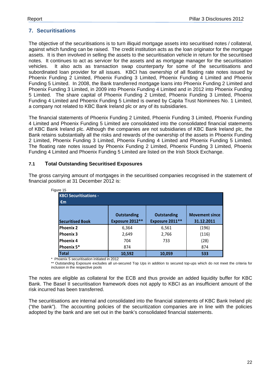## **7. Securitisations**

The objective of the securitisations is to turn illiquid mortgage assets into securitised notes / collateral, against which funding can be raised. The credit institution acts as the loan originator for the mortgage assets. It is then involved in selling the assets to the securitisation vehicle in return for the securitised notes. It continues to act as servicer for the assets and as mortgage manager for the securitisation vehicles. It also acts as transaction swap counterparty for some of the securitisations and subordinated loan provider for all issues. KBCI has ownership of all floating rate notes issued by Phoenix Funding 2 Limited, Phoenix Funding 3 Limited, Phoenix Funding 4 Limited and Phoenix Funding 5 Limited. In 2008, the Bank transferred mortgage loans into Phoenix Funding 2 Limited and Phoenix Funding 3 Limited, in 2009 into Phoenix Funding 4 Limited and in 2012 into Phoenix Funding 5 Limited. The share capital of Phoenix Funding 2 Limited, Phoenix Funding 3 Limited, Phoenix Funding 4 Limited and Phoenix Funding 5 Limited is owned by Capita Trust Nominees No. 1 Limited, a company not related to KBC Bank Ireland plc or any of its subsidiaries.

The financial statements of Phoenix Funding 2 Limited, Phoenix Funding 3 Limited, Phoenix Funding 4 Limited and Phoenix Funding 5 Limited are consolidated into the consolidated financial statements of KBC Bank Ireland plc. Although the companies are not subsidiaries of KBC Bank Ireland plc, the Bank retains substantially all the risks and rewards of the ownership of the assets in Phoenix Funding 2 Limited, Phoenix Funding 3 Limited, Phoenix Funding 4 Limited and Phoenix Funding 5 Limited. The floating rate notes issued by Phoenix Funding 2 Limited, Phoenix Funding 3 Limited, Phoenix Funding 4 Limited and Phoenix Funding 5 Limited are listed on the Irish Stock Exchange.

## **7.1 Total Outstanding Securitised Exposures**

| Figure 15                     |                                       |                                |                                     |
|-------------------------------|---------------------------------------|--------------------------------|-------------------------------------|
| <b>KBCI</b> Securitisations - |                                       |                                |                                     |
| $\epsilon$ m                  |                                       |                                |                                     |
| <b>Securitised Book</b>       | <b>Outstanding</b><br>Exposure 2012** | Outstanding<br>Exposure 2011** | <b>Movement since</b><br>31.12.2011 |
| Phoenix 2                     | 6,364                                 | 6,561                          | (196)                               |
| Phoenix 3                     | 2.649                                 | 2,766                          | (116)                               |
| <b>IPhoenix 4</b>             | 704                                   | 733                            | (28)                                |
| Phoenix 5*                    | 874                                   |                                | 874                                 |
| <b>Total</b>                  | 10,592                                | 10,059                         | 533                                 |

The gross carrying amount of mortgages in the securitised companies recognised in the statement of financial position at 31 December 2012 is:

\* Phoenix 5 securitisation initiated in 2012

\*\* Outstanding Exposure excludes all un-secured Top Ups in addition to secured top-ups which do not meet the criteria for inclusion in the respective pools

The notes are eligible as collateral for the ECB and thus provide an added liquidity buffer for KBC Bank. The Basel II securitisation framework does not apply to KBCI as an insufficient amount of the risk incurred has been transferred.

The securitisations are internal and consolidated into the financial statements of KBC Bank Ireland plc ("the bank"). The accounting policies of the securitization companies are in line with the policies adopted by the bank and are set out in the bank's consolidated financial statements.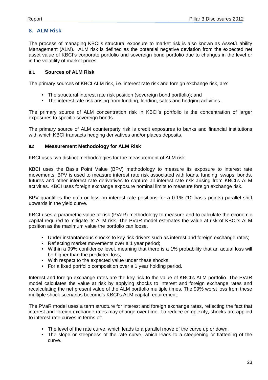## **8. ALM Risk**

The process of managing KBCI's structural exposure to market risk is also known as Asset/Liability Management (ALM). ALM risk is defined as the potential negative deviation from the expected net asset value of KBCI's corporate portfolio and sovereign bond portfolio due to changes in the level or in the volatility of market prices.

## **8.1 Sources of ALM Risk**

The primary sources of KBCI ALM risk, i.e. interest rate risk and foreign exchange risk, are:

- The structural interest rate risk position (sovereign bond portfolio); and
- The interest rate risk arising from funding, lending, sales and hedging activities.

The primary source of ALM concentration risk in KBCI's portfolio is the concentration of larger exposures to specific sovereign bonds.

The primary source of ALM counterparty risk is credit exposures to banks and financial institutions with which KBCI transacts hedging derivatives and/or places deposits.

## **8.2 Measurement Methodology for ALM Risk**

KBCI uses two distinct methodologies for the measurement of ALM risk.

KBCI uses the Basis Point Value (BPV) methodology to measure its exposure to interest rate movements. BPV is used to measure interest rate risk associated with loans, funding, swaps, bonds, futures and other interest rate derivatives to capture all interest rate risk arising from KBCI's ALM activities. KBCI uses foreign exchange exposure nominal limits to measure foreign exchange risk.

BPV quantifies the gain or loss on interest rate positions for a 0.1% (10 basis points) parallel shift upwards in the yield curve.

KBCI uses a parametric value at risk (PVaR) methodology to measure and to calculate the economic capital required to mitigate its ALM risk. The PVaR model estimates the value at risk of KBCI's ALM position as the maximum value the portfolio can loose.

- Under instantaneous shocks to key risk drivers such as interest and foreign exchange rates;
- Reflecting market movements over a 1 year period:
- Within a 99% confidence level, meaning that there is a 1% probability that an actual loss will be higher than the predicted loss;
- With respect to the expected value under these shocks;
- For a fixed portfolio composition over a 1 year holding period.

Interest and foreign exchange rates are the key risk to the value of KBCI's ALM portfolio. The PVaR model calculates the value at risk by applying shocks to interest and foreign exchange rates and recalculating the net present value of the ALM portfolio multiple times. The 99% worst loss from these multiple shock scenarios become's KBCI's ALM capital requirement.

The PVaR model uses a term structure for interest and foreign exchange rates, reflecting the fact that interest and foreign exchange rates may change over time. To reduce complexity, shocks are applied to interest rate curves in terms of:

- The level of the rate curve, which leads to a parallel move of the curve up or down.
- The slope or steepness of the rate curve, which leads to a steepening or flattening of the curve.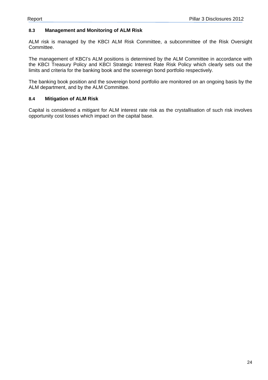## **8.3 Management and Monitoring of ALM Risk**

ALM risk is managed by the KBCI ALM Risk Committee, a subcommittee of the Risk Oversight Committee.

The management of KBCI's ALM positions is determined by the ALM Committee in accordance with the KBCI Treasury Policy and KBCI Strategic Interest Rate Risk Policy which clearly sets out the limits and criteria for the banking book and the sovereign bond portfolio respectively.

The banking book position and the sovereign bond portfolio are monitored on an ongoing basis by the ALM department, and by the ALM Committee.

## **8.4 Mitigation of ALM Risk**

Capital is considered a mitigant for ALM interest rate risk as the crystallisation of such risk involves opportunity cost losses which impact on the capital base.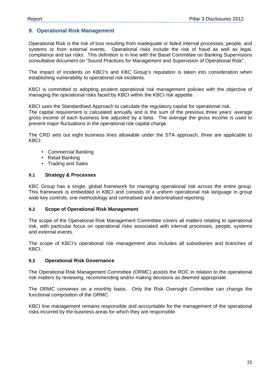## **9. Operational Risk Management**

Operational Risk is the risk of loss resulting from inadequate or failed internal processes, people, and systems or from external events. Operational risks include the risk of fraud as well as legal, compliance and tax risks. This definition is in line with the Basel Committee on Banking Supervisions consultative document on "Sound Practices for Management and Supervision of Operational Risk".

The impact of incidents on KBCI's and KBC Group's reputation is taken into consideration when establishing vulnerability to operational risk incidents.

KBCI is committed to adopting prudent operational risk management policies with the objective of managing the operational risks faced by KBCI within the KBCI risk appetite.

KBCI uses the Standardised Approach to calculate the regulatory capital for operational risk.

The capital requirement is calculated annually and is the sum of the previous three years' average gross income of each business line adjusted by a beta. The average the gross income is used to prevent major fluctuations in the operational risk capital charge.

The CRD sets out eight business lines allowable under the STA approach, three are applicable to KBCI:

- Commercial Banking
- Retail Banking
- Trading and Sales

#### **9.1 Strategy & Processes**

KBC Group has a single, global framework for managing operational risk across the entire group. This framework is embedded in KBCI and consists of a uniform operational risk language in group wide key controls, one methodology and centralised and decentralised reporting.

## **9.2 Scope of Operational Risk Management**

The scope of the Operational Risk Management Committee covers all matters relating to operational risk, with particular focus on operational risks associated with internal processes, people, systems and external events.

The scope of KBCI's operational risk management also includes all subsidiaries and branches of KBCI.

## **9.3 Operational Risk Governance**

The Operational Risk Management Committee (ORMC) assists the ROC in relation to the operational risk matters by reviewing, recommending and/or making decisions as deemed appropriate.

The ORMC convenes on a monthly basis. Only the Risk Oversight Committee can change the functional composition of the ORMC.

KBCI line management remains responsible and accountable for the management of the operational risks incurred by the business areas for which they are responsible.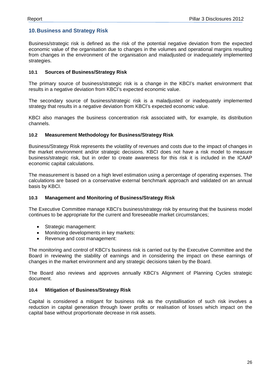## **10. Business and Strategy Risk**

Business/strategic risk is defined as the risk of the potential negative deviation from the expected economic value of the organisation due to changes in the volumes and operational margins resulting from changes in the environment of the organisation and maladjusted or inadequately implemented strategies.

## **10.1 Sources of Business/Strategy Risk**

The primary source of business/strategic risk is a change in the KBCI's market environment that results in a negative deviation from KBCI's expected economic value.

The secondary source of business/strategic risk is a maladjusted or inadequately implemented strategy that results in a negative deviation from KBCI's expected economic value.

KBCI also manages the business concentration risk associated with, for example, its distribution channels.

## **10.2 Measurement Methodology for Business/Strategy Risk**

Business/Strategy Risk represents the volatility of revenues and costs due to the impact of changes in the market environment and/or strategic decisions. KBCI does not have a risk model to measure business/strategic risk, but in order to create awareness for this risk it is included in the ICAAP economic capital calculations.

The measurement is based on a high level estimation using a percentage of operating expenses. The calculations are based on a conservative external benchmark approach and validated on an annual basis by KBCI.

## **10.3 Management and Monitoring of Business/Strategy Risk**

The Executive Committee manage KBCI's business/strategy risk by ensuring that the business model continues to be appropriate for the current and foreseeable market circumstances;

- Strategic management:
- Monitoring developments in key markets:
- Revenue and cost management:

The monitoring and control of KBCI's business risk is carried out by the Executive Committee and the Board in reviewing the stability of earnings and in considering the impact on these earnings of changes in the market environment and any strategic decisions taken by the Board.

The Board also reviews and approves annually KBCI's Alignment of Planning Cycles strategic document.

## **10.4 Mitigation of Business/Strategy Risk**

Capital is considered a mitigant for business risk as the crystallisation of such risk involves a reduction in capital generation through lower profits or realisation of losses which impact on the capital base without proportionate decrease in risk assets.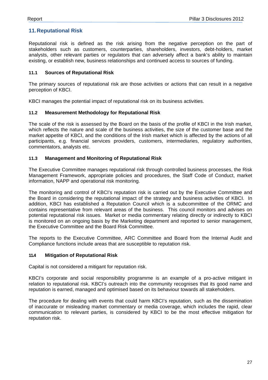## **11. Reputational Risk**

Reputational risk is defined as the risk arising from the negative perception on the part of stakeholders such as customers, counterparties, shareholders, investors, debt-holders, market analysts, other relevant parties or regulators that can adversely affect a bank's ability to maintain existing, or establish new, business relationships and continued access to sources of funding.

## **11.1 Sources of Reputational Risk**

The primary sources of reputational risk are those activities or actions that can result in a negative perception of KBCI.

KBCI manages the potential impact of reputational risk on its business activities.

## **11.2 Measurement Methodology for Reputational Risk**

The scale of the risk is assessed by the Board on the basis of the profile of KBCI in the Irish market, which reflects the nature and scale of the business activities, the size of the customer base and the market appetite of KBCI, and the conditions of the Irish market which is affected by the actions of all participants, e.g. financial services providers, customers, intermediaries, regulatory authorities, commentators, analysts etc.

## **11.3 Management and Monitoring of Reputational Risk**

The Executive Committee manages reputational risk through controlled business processes, the Risk Management Framework, appropriate policies and procedures, the Staff Code of Conduct, market information, NAPP and operational risk monitoring.

The monitoring and control of KBCI's reputation risk is carried out by the Executive Committee and the Board in considering the reputational impact of the strategy and business activities of KBCI. In addition, KBCI has established a Reputation Council which is a subcommittee of the ORMC and contains representative from relevant areas of the business. This council monitors and advises on potential reputational risk issues. Market or media commentary relating directly or indirectly to KBCI is monitored on an ongoing basis by the Marketing department and reported to senior management, the Executive Committee and the Board Risk Committee.

The reports to the Executive Committee, ARC Committee and Board from the Internal Audit and Compliance functions include areas that are susceptible to reputation risk.

## **11.4 Mitigation of Reputational Risk**

Capital is not considered a mitigant for reputation risk.

KBCI's corporate and social responsibility programme is an example of a pro-active mitigant in relation to reputational risk. KBCI's outreach into the community recognises that its good name and reputation is earned, managed and optimised based on its behaviour towards all stakeholders.

The procedure for dealing with events that could harm KBCI's reputation, such as the dissemination of inaccurate or misleading market commentary or media coverage, which includes the rapid, clear communication to relevant parties, is considered by KBCI to be the most effective mitigation for reputation risk.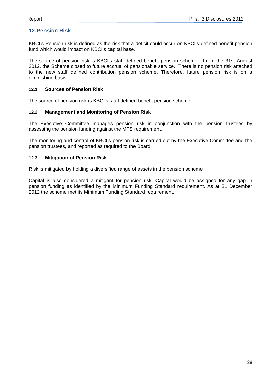## **12. Pension Risk**

KBCI's Pension risk is defined as the risk that a deficit could occur on KBCI's defined benefit pension fund which would impact on KBCI's capital base.

The source of pension risk is KBCI's staff defined benefit pension scheme. From the 31st August 2012, the Scheme closed to future accrual of pensionable service. There is no pension risk attached to the new staff defined contribution pension scheme. Therefore, future pension risk is on a diminishing basis.

## **12.1 Sources of Pension Risk**

The source of pension risk is KBCI's staff defined benefit pension scheme.

## **12.2 Management and Monitoring of Pension Risk**

The Executive Committee manages pension risk in conjunction with the pension trustees by assessing the pension funding against the MFS requirement.

The monitoring and control of KBCI's pension risk is carried out by the Executive Committee and the pension trustees, and reported as required to the Board.

## **12.3 Mitigation of Pension Risk**

Risk is mitigated by holding a diversified range of assets in the pension scheme

Capital is also considered a mitigant for pension risk. Capital would be assigned for any gap in pension funding as identified by the Minimum Funding Standard requirement. As at 31 December 2012 the scheme met its Minimum Funding Standard requirement.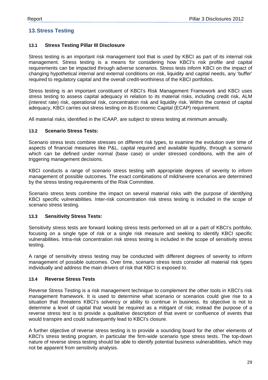## **13. Stress Testing**

## **13.1 Stress Testing Pillar III Disclosure**

Stress testing is an important risk management tool that is used by KBCI as part of its internal risk management. Stress testing is a means for considering how KBCI's risk profile and capital requirements can be impacted through adverse scenarios. Stress tests inform KBCI on the impact of changing hypothetical internal and external conditions on risk, liquidity and capital needs, any 'buffer' required to regulatory capital and the overall credit-worthiness of the KBCI portfolios.

Stress testing is an important constituent of KBCI's Risk Management Framework and KBCI uses stress testing to assess capital adequacy in relation to its material risks, including credit risk, ALM (interest rate) risk, operational risk, concentration risk and liquidity risk. Within the context of capital adequacy, KBCI carries out stress testing on its Economic Capital (ECAP) requirement.

All material risks, identified in the ICAAP, are subject to stress testing at minimum annually.

## **13.2 Scenario Stress Tests:**

Scenario stress tests combine stresses on different risk types, to examine the evolution over time of aspects of financial measures like P&L, capital required and available liquidity, through a scenario which can be defined under normal (base case) or under stressed conditions, with the aim of triggering management decisions.

KBCI conducts a range of scenario stress testing with appropriate degrees of severity to inform management of possible outcomes. The exact combinations of mild/severe scenarios are determined by the stress testing requirements of the Risk Committee.

Scenario stress tests combine the impact on several material risks with the purpose of identifying KBCI specific vulnerabilities. Inter-risk concentration risk stress testing is included in the scope of scenario stress testing.

## **13.3 Sensitivity Stress Tests:**

Sensitivity stress tests are forward looking stress tests performed on all or a part of KBCI's portfolio, focusing on a single type of risk or a single risk measure and seeking to identify KBCI specific vulnerabilities. Intra-risk concentration risk stress testing is included in the scope of sensitivity stress testing.

A range of sensitivity stress testing may be conducted with different degrees of severity to inform management of possible outcomes. Over time, scenario stress tests consider all material risk types individually and address the main drivers of risk that KBCI is exposed to.

## **13.4 Reverse Stress Tests**

Reverse Stress Testing is a risk management technique to complement the other tools in KBCI's risk management framework. It is used to determine what scenario or scenarios could give rise to a situation that threatens KBCI's solvency or ability to continue in business. Its objective is not to determine a level of capital that would be required as a mitigant of risk; instead the purpose of a reverse stress test is to provide a qualitative description of that event or confluence of events that would transpire and could subsequently lead to KBCI's closure.

A further objective of reverse stress testing is to provide a sounding board for the other elements of KBCI's stress testing program, in particular the firm-wide scenario type stress tests. The top-down nature of reverse stress testing should be able to identify potential business vulnerabilities, which may not be apparent from sensitivity analysis.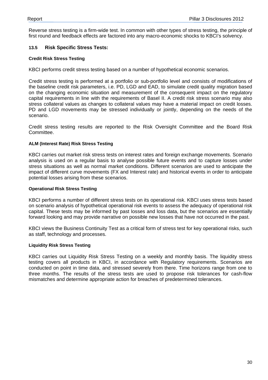Reverse stress testing is a firm-wide test. In common with other types of stress testing, the principle of first round and feedback effects are factored into any macro-economic shocks to KBCI's solvency.

## **13.5 Risk Specific Stress Tests:**

#### **Credit Risk Stress Testing**

KBCI performs credit stress testing based on a number of hypothetical economic scenarios.

Credit stress testing is performed at a portfolio or sub-portfolio level and consists of modifications of the baseline credit risk parameters, i.e. PD, LGD and EAD, to simulate credit quality migration based on the changing economic situation and measurement of the consequent impact on the regulatory capital requirements in line with the requirements of Basel II. A credit risk stress scenario may also stress collateral values as changes to collateral values may have a material impact on credit losses. PD and LGD movements may be stressed individually or jointly, depending on the needs of the scenario.

Credit stress testing results are reported to the Risk Oversight Committee and the Board Risk Committee.

#### **ALM (Interest Rate) Risk Stress Testing**

KBCI carries out market risk stress tests on interest rates and foreign exchange movements. Scenario analysis is used on a regular basis to analyse possible future events and to capture losses under stress situations as well as normal market conditions. Different scenarios are used to anticipate the impact of different curve movements (FX and Interest rate) and historical events in order to anticipate potential losses arising from these scenarios.

#### **Operational Risk Stress Testing**

KBCI performs a number of different stress tests on its operational risk. KBCI uses stress tests based on scenario analysis of hypothetical operational risk events to assess the adequacy of operational risk capital. These tests may be informed by past losses and loss data, but the scenarios are essentially forward looking and may provide narrative on possible new losses that have not occurred in the past.

KBCI views the Business Continuity Test as a critical form of stress test for key operational risks, such as staff, technology and processes.

#### **Liquidity Risk Stress Testing**

KBCI carries out Liquidity Risk Stress Testing on a weekly and monthly basis. The liquidity stress testing covers all products in KBCI, in accordance with Regulatory requirements. Scenarios are conducted on point in time data, and stressed severely from there. Time horizons range from one to three months. The results of the stress tests are used to propose risk tolerances for cash-flow mismatches and determine appropriate action for breaches of predetermined tolerances.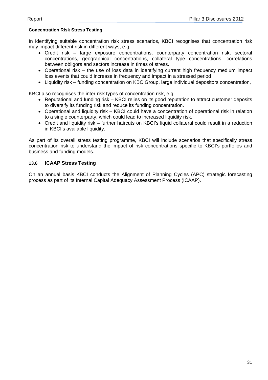## **Concentration Risk Stress Testing**

In identifying suitable concentration risk stress scenarios, KBCI recognises that concentration risk may impact different risk in different ways, e.g.

- Credit risk large exposure concentrations, counterparty concentration risk, sectoral concentrations, geographical concentrations, collateral type concentrations, correlations between obligors and sectors increase in times of stress.
- Operational risk the use of loss data in identifying current high frequency medium impact loss events that could increase in frequency and impact in a stressed period
- Liquidity risk funding concentration on KBC Group, large individual depositors concentration,

KBCI also recognises the inter-risk types of concentration risk, e.g.

- Reputational and funding risk KBCI relies on its good reputation to attract customer deposits to diversify its funding risk and reduce its funding concentration.
- Operational and liquidity risk KBCI could have a concentration of operational risk in relation to a single counterparty, which could lead to increased liquidity risk.
- Credit and liquidity risk further haircuts on KBCI's liquid collateral could result in a reduction in KBCI's available liquidity.

As part of its overall stress testing programme, KBCI will include scenarios that specifically stress concentration risk to understand the impact of risk concentrations specific to KBCI's portfolios and business and funding models.

## **13.6 ICAAP Stress Testing**

On an annual basis KBCI conducts the Alignment of Planning Cycles (APC) strategic forecasting process as part of its Internal Capital Adequacy Assessment Process (ICAAP).